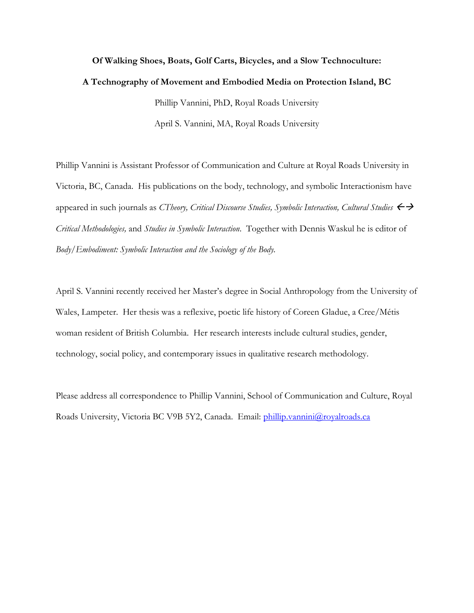## **Of Walking Shoes, Boats, Golf Carts, Bicycles, and a Slow Technoculture: A Technography of Movement and Embodied Media on Protection Island, BC**  Phillip Vannini, PhD, Royal Roads University April S. Vannini, MA, Royal Roads University

Phillip Vannini is Assistant Professor of Communication and Culture at Royal Roads University in Victoria, BC, Canada. His publications on the body, technology, and symbolic Interactionism have appeared in such journals as *CTheory, Critical Discourse Studies, Symbolic Interaction, Cultural Studies Critical Methodologies,* and *Studies in Symbolic Interaction*. Together with Dennis Waskul he is editor of *Body/Embodiment: Symbolic Interaction and the Sociology of the Body.* 

April S. Vannini recently received her Master's degree in Social Anthropology from the University of Wales, Lampeter. Her thesis was a reflexive, poetic life history of Coreen Gladue, a Cree/Métis woman resident of British Columbia. Her research interests include cultural studies, gender, technology, social policy, and contemporary issues in qualitative research methodology.

Please address all correspondence to Phillip Vannini, School of Communication and Culture, Royal Roads University, Victoria BC V9B 5Y2, Canada. Email: [phillip.vannini@royalroads.ca](mailto:phillip.vannini@royalroads.ca)